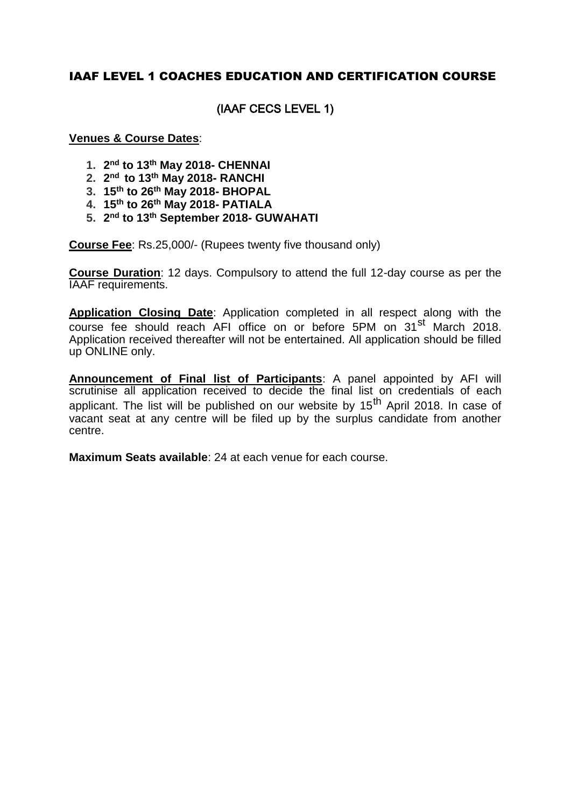## IAAF LEVEL 1 COACHES EDUCATION AND CERTIFICATION COURSE

## (IAAF CECS LEVEL 1)

#### **Venues & Course Dates**:

- **1. 2 nd to 13th May 2018- CHENNAI**
- **2. 2 nd to 13th May 2018- RANCHI**
- **3. 15th to 26th May 2018- BHOPAL**
- **4. 15th to 26th May 2018- PATIALA**
- **5. 2 nd to 13th September 2018- GUWAHATI**

**Course Fee**: Rs.25,000/- (Rupees twenty five thousand only)

**Course Duration**: 12 days. Compulsory to attend the full 12-day course as per the IAAF requirements.

**Application Closing Date**: Application completed in all respect along with the course fee should reach AFI office on or before 5PM on 31<sup>st</sup> March 2018. Application received thereafter will not be entertained. All application should be filled up ONLINE only.

**Announcement of Final list of Participants**: A panel appointed by AFI will scrutinise all application received to decide the final list on credentials of each applicant. The list will be published on our website by  $15<sup>th</sup>$  April 2018. In case of vacant seat at any centre will be filed up by the surplus candidate from another centre.

**Maximum Seats available**: 24 at each venue for each course.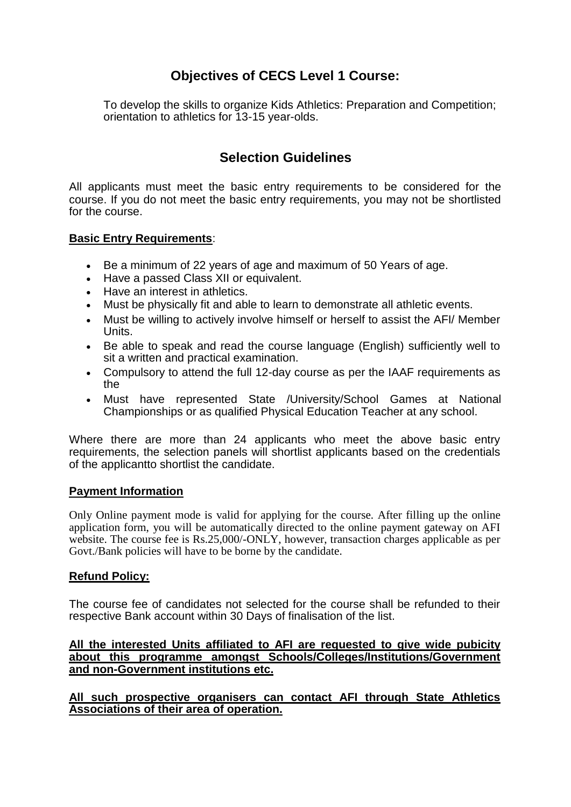# **Objectives of CECS Level 1 Course:**

To develop the skills to organize Kids Athletics: Preparation and Competition; orientation to athletics for 13-15 year-olds.

## **Selection Guidelines**

All applicants must meet the basic entry requirements to be considered for the course. If you do not meet the basic entry requirements, you may not be shortlisted for the course.

#### **Basic Entry Requirements**:

- Be a minimum of 22 years of age and maximum of 50 Years of age.
- Have a passed Class XII or equivalent.
- Have an interest in athletics.
- Must be physically fit and able to learn to demonstrate all athletic events.
- Must be willing to actively involve himself or herself to assist the AFI/ Member Units.
- Be able to speak and read the course language (English) sufficiently well to sit a written and practical examination.
- Compulsory to attend the full 12-day course as per the IAAF requirements as the
- Must have represented State /University/School Games at National Championships or as qualified Physical Education Teacher at any school.

Where there are more than 24 applicants who meet the above basic entry requirements, the selection panels will shortlist applicants based on the credentials of the applicantto shortlist the candidate.

#### **Payment Information**

Only Online payment mode is valid for applying for the course. After filling up the online application form, you will be automatically directed to the online payment gateway on AFI website. The course fee is Rs.25,000/-ONLY, however, transaction charges applicable as per Govt./Bank policies will have to be borne by the candidate.

### **Refund Policy:**

The course fee of candidates not selected for the course shall be refunded to their respective Bank account within 30 Days of finalisation of the list.

#### **All the interested Units affiliated to AFI are requested to give wide pubicity about this programme amongst Schools/Colleges/Institutions/Government and non-Government institutions etc.**

**All such prospective organisers can contact AFI through State Athletics Associations of their area of operation.**